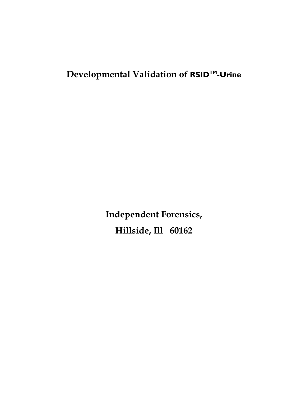# **Developmental Validation of RSID™-Urine**

**Independent Forensics, Hillside, Ill 60162**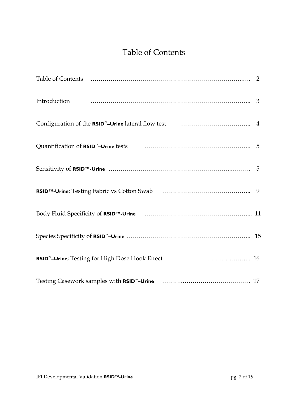## Table of Contents

| $\mbox{Configuration of the \textit{RSID} ``-Urine lateral flow test \qquad \qquad \qquad ~~\qquad \qquad 4$ |  |
|--------------------------------------------------------------------------------------------------------------|--|
| Quantification of RSID <sup>"</sup> -Urine tests <b>contained a container and the Urine S</b>                |  |
|                                                                                                              |  |
|                                                                                                              |  |
|                                                                                                              |  |
|                                                                                                              |  |
|                                                                                                              |  |
|                                                                                                              |  |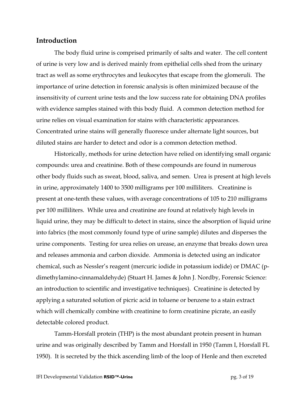#### **Introduction**

 The body fluid urine is comprised primarily of salts and water. The cell content of urine is very low and is derived mainly from epithelial cells shed from the urinary tract as well as some erythrocytes and leukocytes that escape from the glomeruli. The importance of urine detection in forensic analysis is often minimized because of the insensitivity of current urine tests and the low success rate for obtaining DNA profiles with evidence samples stained with this body fluid. A common detection method for urine relies on visual examination for stains with characteristic appearances. Concentrated urine stains will generally fluoresce under alternate light sources, but diluted stains are harder to detect and odor is a common detection method.

 Historically, methods for urine detection have relied on identifying small organic compounds: urea and creatinine. Both of these compounds are found in numerous other body fluids such as sweat, blood, saliva, and semen. Urea is present at high levels in urine, approximately 1400 to 3500 milligrams per 100 milliliters. Creatinine is present at one-tenth these values, with average concentrations of 105 to 210 milligrams per 100 milliliters. While urea and creatinine are found at relatively high levels in liquid urine, they may be difficult to detect in stains, since the absorption of liquid urine into fabrics (the most commonly found type of urine sample) dilutes and disperses the urine components. Testing for urea relies on urease, an enzyme that breaks down urea and releases ammonia and carbon dioxide. Ammonia is detected using an indicator chemical, such as Nessler's reagent (mercuric iodide in potassium iodide) or DMAC (pdimethylamino-cinnamaldehyde) (Stuart H. James & John J. Nordby, Forensic Science: an introduction to scientific and investigative techniques). Creatinine is detected by applying a saturated solution of picric acid in toluene or benzene to a stain extract which will chemically combine with creatinine to form creatinine picrate, an easily detectable colored product.

 Tamm-Horsfall protein (THP) is the most abundant protein present in human urine and was originally described by Tamm and Horsfall in 1950 (Tamm I, Horsfall FL 1950). It is secreted by the thick ascending limb of the loop of Henle and then excreted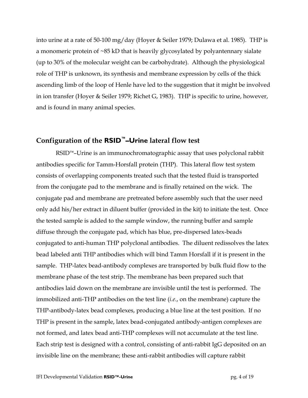into urine at a rate of 50-100 mg/day (Hoyer & Seiler 1979; Dulawa et al. 1985). THP is a monomeric protein of ~85 kD that is heavily glycosylated by polyantennary sialate (up to 30% of the molecular weight can be carbohydrate). Although the physiological role of THP is unknown, its synthesis and membrane expression by cells of the thick ascending limb of the loop of Henle have led to the suggestion that it might be involved in ion transfer (Hoyer & Seiler 1979; Richet G, 1983). THP is specific to urine, however, and is found in many animal species.

#### **Configuration of the RSID™–Urine lateral flow test**

RSID<sup>™</sup>–Urine is an immunochromatographic assay that uses polyclonal rabbit antibodies specific for Tamm-Horsfall protein (THP). This lateral flow test system consists of overlapping components treated such that the tested fluid is transported from the conjugate pad to the membrane and is finally retained on the wick. The conjugate pad and membrane are pretreated before assembly such that the user need only add his/her extract in diluent buffer (provided in the kit) to initiate the test. Once the tested sample is added to the sample window, the running buffer and sample diffuse through the conjugate pad, which has blue, pre-dispersed latex-beads conjugated to anti-human THP polyclonal antibodies. The diluent redissolves the latex bead labeled anti THP antibodies which will bind Tamm Horsfall if it is present in the sample. THP-latex bead-antibody complexes are transported by bulk fluid flow to the membrane phase of the test strip. The membrane has been prepared such that antibodies laid down on the membrane are invisible until the test is performed. The immobilized anti-THP antibodies on the test line (*i.e.*, on the membrane) capture the THP-antibody-latex bead complexes, producing a blue line at the test position. If no THP is present in the sample, latex bead-conjugated antibody-antigen complexes are not formed, and latex bead anti-THP complexes will not accumulate at the test line. Each strip test is designed with a control, consisting of anti-rabbit IgG deposited on an invisible line on the membrane; these anti-rabbit antibodies will capture rabbit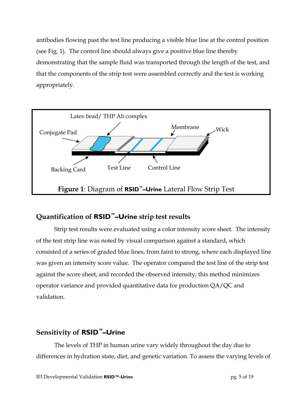antibodies flowing past the test line producing a visible blue line at the control position (see Fig. 1). The control line should always give a positive blue line thereby demonstrating that the sample fluid was transported through the length of the test, and that the components of the strip test were assembled correctly and the test is working appropriately.



#### **Quantification of RSID™–Urine strip test results**

Strip test results were evaluated using a color intensity score sheet. The intensity of the test strip line was noted by visual comparison against a standard, which consisted of a series of graded blue lines, from faint to strong, where each displayed line was given an intensity score value. The operator compared the test line of the strip test against the score sheet, and recorded the observed intensity; this method minimizes operator variance and provided quantitative data for production QA/QC and validation.

#### **Sensitivity of RSID™–Urine**

 The levels of THP in human urine vary widely throughout the day due to differences in hydration state, diet, and genetic variation. To assess the varying levels of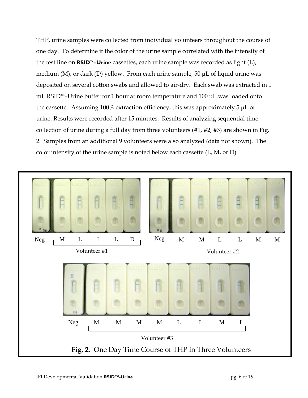THP, urine samples were collected from individual volunteers throughout the course of one day. To determine if the color of the urine sample correlated with the intensity of the test line on **RSID™–Urine** cassettes, each urine sample was recorded as light (L), medium (M), or dark (D) yellow. From each urine sample, 50 μL of liquid urine was deposited on several cotton swabs and allowed to air-dry. Each swab was extracted in 1 mL RSID™–Urine buffer for 1 hour at room temperature and 100 μL was loaded onto the cassette. Assuming 100% extraction efficiency, this was approximately 5 μL of urine. Results were recorded after 15 minutes. Results of analyzing sequential time collection of urine during a full day from three volunteers (#1, #2, #3) are shown in Fig. 2. Samples from an additional 9 volunteers were also analyzed (data not shown). The color intensity of the urine sample is noted below each cassette (L, M, or D).

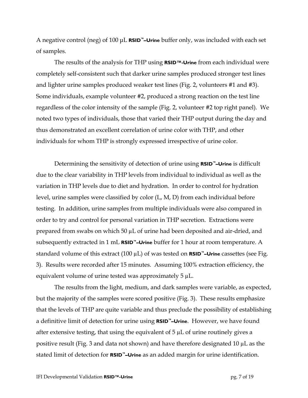A negative control (neg) of 100 μL **RSID™–Urine** buffer only, was included with each set of samples.

 The results of the analysis for THP using **RSID™-Urine** from each individual were completely self-consistent such that darker urine samples produced stronger test lines and lighter urine samples produced weaker test lines (Fig. 2, volunteers #1 and #3). Some individuals, example volunteer #2, produced a strong reaction on the test line regardless of the color intensity of the sample (Fig. 2, volunteer #2 top right panel). We noted two types of individuals, those that varied their THP output during the day and thus demonstrated an excellent correlation of urine color with THP, and other individuals for whom THP is strongly expressed irrespective of urine color.

 Determining the sensitivity of detection of urine using **RSID™–Urine** is difficult due to the clear variability in THP levels from individual to individual as well as the variation in THP levels due to diet and hydration. In order to control for hydration level, urine samples were classified by color (L, M, D) from each individual before testing. In addition, urine samples from multiple individuals were also compared in order to try and control for personal variation in THP secretion. Extractions were prepared from swabs on which 50 µL of urine had been deposited and air-dried, and subsequently extracted in 1 mL **RSID™–Urine** buffer for 1 hour at room temperature. A standard volume of this extract (100 µL) of was tested on **RSID™–Urine** cassettes (see Fig. 3). Results were recorded after 15 minutes. Assuming 100% extraction efficiency, the equivalent volume of urine tested was approximately  $5 \mu L$ .

 The results from the light, medium, and dark samples were variable, as expected, but the majority of the samples were scored positive (Fig. 3). These results emphasize that the levels of THP are quite variable and thus preclude the possibility of establishing a definitive limit of detection for urine using **RSID™–Urine**. However, we have found after extensive testing, that using the equivalent of  $5 \mu L$  of urine routinely gives a positive result (Fig. 3 and data not shown) and have therefore designated 10 µL as the stated limit of detection for **RSID™–Urine** as an added margin for urine identification.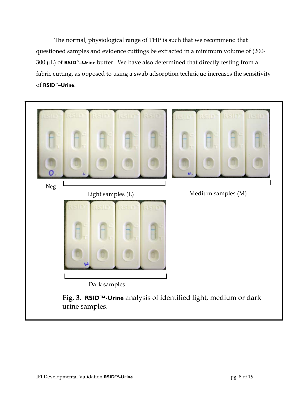The normal, physiological range of THP is such that we recommend that questioned samples and evidence cuttings be extracted in a minimum volume of (200- 300 µL) of **RSID™–Urine** buffer. We have also determined that directly testing from a fabric cutting, as opposed to using a swab adsorption technique increases the sensitivity of **RSID™–Urine**.

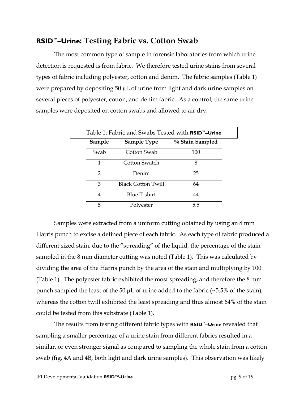#### **RSID™–Urine: Testing Fabric vs. Cotton Swab**

The most common type of sample in forensic laboratories from which urine detection is requested is from fabric. We therefore tested urine stains from several types of fabric including polyester, cotton and denim. The fabric samples (Table 1) were prepared by depositing 50  $\mu$ L of urine from light and dark urine samples on several pieces of polyester, cotton, and denim fabric. As a control, the same urine samples were deposited on cotton swabs and allowed to air dry.

| Table 1: Fabric and Swabs Tested with <b>RSID</b> <sup>"</sup> -Urine |                           |                 |  |  |  |
|-----------------------------------------------------------------------|---------------------------|-----------------|--|--|--|
| Sample                                                                | <b>Sample Type</b>        | % Stain Sampled |  |  |  |
| Swab                                                                  | Cotton Swab               | 100             |  |  |  |
| 1                                                                     | Cotton Swatch             | 8               |  |  |  |
| $\mathcal{P}$                                                         | Denim                     | 25              |  |  |  |
| 3                                                                     | <b>Black Cotton Twill</b> | 64              |  |  |  |
| 4                                                                     | <b>Blue T-shirt</b>       | 44              |  |  |  |
| 5                                                                     | Polyester                 | 5.5             |  |  |  |

 Samples were extracted from a uniform cutting obtained by using an 8 mm Harris punch to excise a defined piece of each fabric. As each type of fabric produced a different sized stain, due to the "spreading" of the liquid, the percentage of the stain sampled in the 8 mm diameter cutting was noted (Table 1). This was calculated by dividing the area of the Harris punch by the area of the stain and multiplying by 100 (Table 1). The polyester fabric exhibited the most spreading, and therefore the 8 mm punch sampled the least of the 50  $\mu$ L of urine added to the fabric (~5.5% of the stain), whereas the cotton twill exhibited the least spreading and thus almost 64% of the stain could be tested from this substrate (Table 1).

 The results from testing different fabric types with **RSID™–Urine** revealed that sampling a smaller percentage of a urine stain from different fabrics resulted in a similar, or even stronger signal as compared to sampling the whole stain from a cotton swab (fig. 4A and 4B, both light and dark urine samples). This observation was likely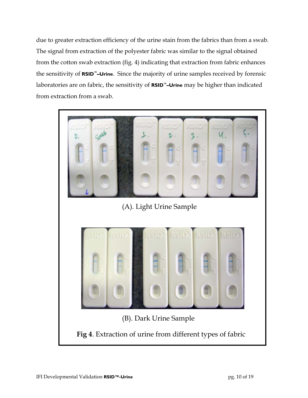due to greater extraction efficiency of the urine stain from the fabrics than from a swab. The signal from extraction of the polyester fabric was similar to the signal obtained from the cotton swab extraction (fig. 4) indicating that extraction from fabric enhances the sensitivity of **RSID™–Urine**. Since the majority of urine samples received by forensic laboratories are on fabric, the sensitivity of **RSID™–Urine** may be higher than indicated from extraction from a swab.

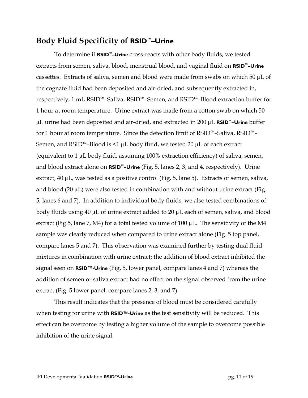#### **Body Fluid Specificity of RSID™–Urine**

To determine if **RSID™–Urine** cross-reacts with other body fluids, we tested extracts from semen, saliva, blood, menstrual blood, and vaginal fluid on **RSID™–Urine** cassettes. Extracts of saliva, semen and blood were made from swabs on which 50  $\mu$ L of the cognate fluid had been deposited and air-dried, and subsequently extracted in, respectively, 1 mL RSID™–Saliva, RSID™–Semen, and RSID™–Blood extraction buffer for 1 hour at room temperature. Urine extract was made from a cotton swab on which 50 µL urine had been deposited and air-dried, and extracted in 200 µL **RSID™–Urine** buffer for 1 hour at room temperature. Since the detection limit of RSID™–Saliva, RSID™– Semen, and RSID<sup>™</sup>–Blood is <1  $\mu$ L body fluid, we tested 20  $\mu$ L of each extract (equivalent to 1 µL body fluid, assuming 100% extraction efficiency) of saliva, semen, and blood extract alone on **RSID™–Urine** (Fig. 5, lanes 2, 3, and 4, respectively). Urine extract, 40 µL, was tested as a positive control (Fig. 5, lane 5). Extracts of semen, saliva, and blood  $(20 \mu L)$  were also tested in combination with and without urine extract (Fig. 5, lanes 6 and 7). In addition to individual body fluids, we also tested combinations of body fluids using 40 µL of urine extract added to 20 µL each of semen, saliva, and blood extract (Fig.5, lane 7, M4) for a total tested volume of 100  $\mu$ L. The sensitivity of the M4 sample was clearly reduced when compared to urine extract alone (Fig. 5 top panel, compare lanes 5 and 7). This observation was examined further by testing dual fluid mixtures in combination with urine extract; the addition of blood extract inhibited the signal seen on **RSID™-Urine** (Fig. 5, lower panel, compare lanes 4 and 7) whereas the addition of semen or saliva extract had no effect on the signal observed from the urine extract (Fig. 5 lower panel, compare lanes 2, 3, and 7).

 This result indicates that the presence of blood must be considered carefully when testing for urine with **RSID™-Urine** as the test sensitivity will be reduced. This effect can be overcome by testing a higher volume of the sample to overcome possible inhibition of the urine signal.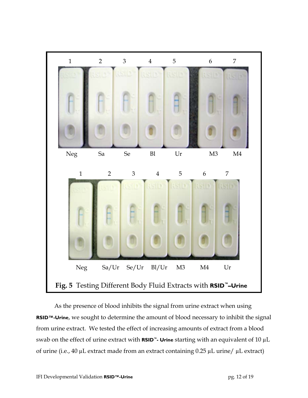

 As the presence of blood inhibits the signal from urine extract when using **RSID™-Urine**, we sought to determine the amount of blood necessary to inhibit the signal from urine extract. We tested the effect of increasing amounts of extract from a blood swab on the effect of urine extract with **RSID™- Urine** starting with an equivalent of 10 µL of urine (i.e., 40 µL extract made from an extract containing 0.25 µL urine/ µL extract)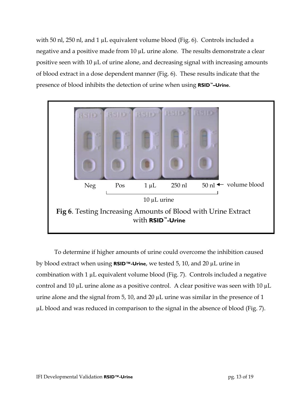with 50 nl, 250 nl, and 1 µL equivalent volume blood (Fig. 6). Controls included a negative and a positive made from 10 µL urine alone. The results demonstrate a clear positive seen with  $10 \mu L$  of urine alone, and decreasing signal with increasing amounts of blood extract in a dose dependent manner (Fig. 6). These results indicate that the presence of blood inhibits the detection of urine when using **RSID™–Urine**.



 To determine if higher amounts of urine could overcome the inhibition caused by blood extract when using **RSID™-Urine**, we tested 5, 10, and 20 µL urine in combination with 1 µL equivalent volume blood (Fig. 7). Controls included a negative control and 10  $\mu$ L urine alone as a positive control. A clear positive was seen with 10  $\mu$ L urine alone and the signal from 5, 10, and 20  $\mu$ L urine was similar in the presence of 1 µL blood and was reduced in comparison to the signal in the absence of blood (Fig. 7).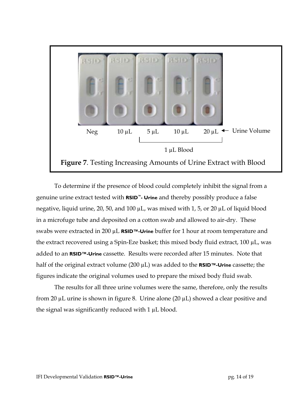

To determine if the presence of blood could completely inhibit the signal from a genuine urine extract tested with **RSID™- Urine** and thereby possibly produce a false negative, liquid urine, 20, 50, and 100 µL, was mixed with 1, 5, or 20 µL of liquid blood in a microfuge tube and deposited on a cotton swab and allowed to air-dry. These swabs were extracted in 200 µL **RSID™-Urine** buffer for 1 hour at room temperature and the extract recovered using a Spin-Eze basket; this mixed body fluid extract, 100 µL, was added to an **RSID™-Urine** cassette. Results were recorded after 15 minutes. Note that half of the original extract volume (200 µL) was added to the **RSID™-Urine** cassette; the figures indicate the original volumes used to prepare the mixed body fluid swab.

 The results for all three urine volumes were the same, therefore, only the results from 20 µL urine is shown in figure 8. Urine alone (20 µL) showed a clear positive and the signal was significantly reduced with  $1 \mu L$  blood.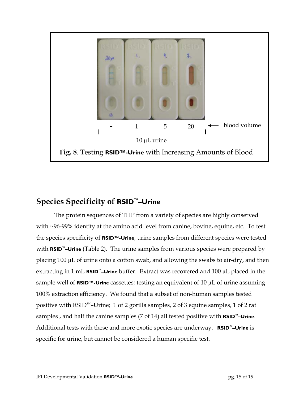

#### **Species Specificity of RSID™–Urine**

The protein sequences of THP from a variety of species are highly conserved with ~96-99% identity at the amino acid level from canine, bovine, equine, etc. To test the species specificity of **RSID™-Urine**, urine samples from different species were tested with **RSID™–Urine** (Table 2). The urine samples from various species were prepared by placing 100 µL of urine onto a cotton swab, and allowing the swabs to air-dry, and then extracting in 1 mL **RSID™–Urine** buffer. Extract was recovered and 100 µL placed in the sample well of **RSID™-Urine** cassettes; testing an equivalent of 10 µL of urine assuming 100% extraction efficiency. We found that a subset of non-human samples tested positive with RSID™–Urine; 1 of 2 gorilla samples, 2 of 3 equine samples, 1 of 2 rat samples , and half the canine samples (7 of 14) all tested positive with **RSID™–Urine**. Additional tests with these and more exotic species are underway. **RSID™–Urine** is specific for urine, but cannot be considered a human specific test.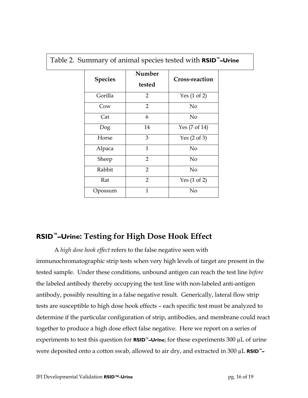| <b>Species</b> | Number<br>tested | <b>Cross-reaction</b>    |
|----------------|------------------|--------------------------|
| Gorilla        | $\overline{2}$   | Yes $(1 \text{ of } 2)$  |
| Cow            | $\overline{2}$   | No                       |
| Cat            | 6                | No                       |
| Dog            | 14               | Yes $(7 \text{ of } 14)$ |
| Horse          | 3                | Yes $(2 \text{ of } 3)$  |
| Alpaca         | 1                | No                       |
| Sheep          | $\overline{2}$   | No                       |
| Rabbit         | $\overline{2}$   | No                       |
| Rat            | $\overline{2}$   | Yes $(1 \text{ of } 2)$  |
| Opossum        | $\overline{1}$   | No                       |

Table 2. Summary of animal species tested with **RSID™–Urine**

#### **RSID™–Urine: Testing for High Dose Hook Effect**

A *high dose hook effect* refers to the false negative seen with immunochromatographic strip tests when very high levels of target are present in the tested sample. Under these conditions, unbound antigen can reach the test line *before* the labeled antibody thereby occupying the test line with non-labeled anti-antigen antibody, possibly resulting in a false negative result. Generically, lateral flow strip tests are susceptible to high dose hook effects – each specific test must be analyzed to determine if the particular configuration of strip, antibodies, and membrane could react together to produce a high dose effect false negative. Here we report on a series of experiments to test this question for **RSID™–Urine**; for these experiments 300 µL of urine were deposited onto a cotton swab, allowed to air dry, and extracted in 300 µL **RSID™–**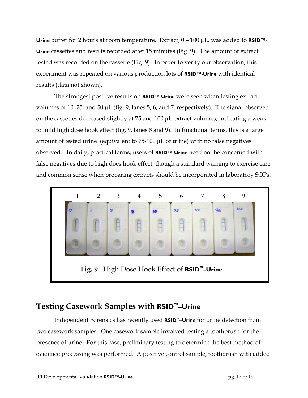**Urine** buffer for 2 hours at room temperature. Extract, 0 – 100 µL, was added to **RSID™- Urine** cassettes and results recorded after 15 minutes (Fig. 9). The amount of extract tested was recorded on the cassette (Fig. 9). In order to verify our observation, this experiment was repeated on various production lots of **RSID™-Urine** with identical results (data not shown).

 The strongest positive results on **RSID™-Urine** were seen when testing extract volumes of 10, 25, and 50 µL (fig. 9, lanes 5, 6, and 7, respectively). The signal observed on the cassettes decreased slightly at 75 and 100 µL extract volumes, indicating a weak to mild high dose hook effect (fig. 9, lanes 8 and 9). In functional terms, this is a large amount of tested urine (equivalent to 75-100 µL of urine) with no false negatives observed. In daily, practical terms, users of **RSID™-Urine** need not be concerned with false negatives due to high does hook effect, though a standard warning to exercise care and common sense when preparing extracts should be incorporated in laboratory SOPs.



### **Testing Casework Samples with RSID™–Urine**

Independent Forensics has recently used **RSID™–Urine** for urine detection from two casework samples. One casework sample involved testing a toothbrush for the presence of urine. For this case, preliminary testing to determine the best method of evidence processing was performed. A positive control sample, toothbrush with added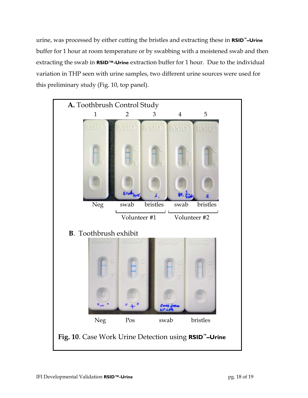urine, was processed by either cutting the bristles and extracting these in **RSID™–Urine** buffer for 1 hour at room temperature or by swabbing with a moistened swab and then extracting the swab in **RSID™-Urine** extraction buffer for 1 hour. Due to the individual variation in THP seen with urine samples, two different urine sources were used for this preliminary study (Fig. 10, top panel).